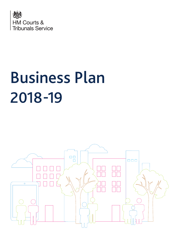

# Business Plan 2018-19

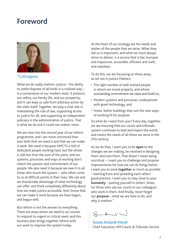### Foreword



"Colleagues,

What we do really matters. Justice – the ability to settle disputes of all kinds in a civilised way – is a cornerstone of our modern state. It protects our safety, our family life, and our prosperity; and it can keep us safe from arbitrary action by the state itself. Together, we play a vital role in maintaining the rule of law, supporting access to justice for all, and supporting an independent judiciary in the administration of justice. That is what we do and it could not matter more.

We are now into the second year of our reform programme, and I am more convinced than ever both that we need it and that we can make it work. We need it because HMCTS is full of dedicated people working hard, but the whole is still less than the sum of the parts; and our systems, processes and ways of working don't match the passion and commitment of our people. We also need it because we owe it to all those who touch the system – who often come to us at difficult points in their lives. We can and we should take advantage of what technology can offer, and think completely differently about how we make justice accessible. And I know that we can make it work because we have begun, and begun well.

But reform is not the answer to everything. There are areas where we need to act sooner to respond to urgent or critical need, and this business plan brings together reform with our work to improve the system today.

At the heart of our strategy are the needs and wishes of the people that we serve. What they tell us is important, and what we must always strive to deliver, is a service that is fair, humane and responsive, accessible, efficient and swift, and seamless.

To do this, we are focussing on three areas, as set out in Justice Matters:

- The right number of well-trained people in whom we invest properly, and whose outstanding commitment we value and build on;
- Modern systems and processes, underpinned with great technology; and
- Fewer, better buildings that suit the new ways of working fit for purpose

So what do I want from you? Every day, together, we are ensuring that our courts and tribunals system continues to lead and inspire the world, and meets the needs of all those we serve in the 21st century.

As we do that, I want you to be **open** to the changes we are making, be involved in designing them and own them. That doesn't mean being uncritical – I want you to challenge and propose improvements for how we can do things better. I want you to work **together** as much as possible – learning from and spreading each others' good practice. I want you to stay close to your **humanity** – putting yourself in others' shoes, for those who use our courts or our colleagues who work in them. And finally, never forget our **purpose** – what we are here to do, and why it matters."

 $\begin{picture}(20,20) \put(0,0){\dashbox{0.5}(5,0){ }} \put(15,0){\dashbox{0.5}(5,0){ }} \put(15,0){\dashbox{0.5}(5,0){ }} \put(15,0){\dashbox{0.5}(5,0){ }} \put(15,0){\dashbox{0.5}(5,0){ }} \put(15,0){\dashbox{0.5}(5,0){ }} \put(15,0){\dashbox{0.5}(5,0){ }} \put(15,0){\dashbox{0.5}(5,0){ }} \put(15,0){\dashbox{0.5}(5,0){ }} \put(15,0){\dashbox{0.5}(5,0){ }}$ 

**Susan Acland-Hood**  Chief Executive, HM Courts & Tribunals Service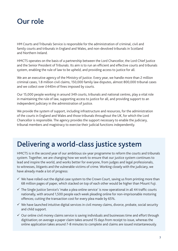

HM Courts and Tribunals Service is responsible for the administration of criminal, civil and family courts and tribunals in England and Wales, and non-devolved tribunals in Scotland and Northern Ireland.

HMCTS operates on the basis of a partnership between the Lord Chancellor, the Lord Chief Justice and the Senior President of Tribunals. Its aim is to run an efficient and effective courts and tribunals system, enabling the rule of law to be upheld, and providing access to justice for all.

We are an executive agency of the Ministry of Justice. Every year, we handle more than 2 million criminal cases, 1.8 million civil claims, 150,000 family law disputes, almost 800,000 tribunal cases and we collect over £440m of fines imposed by courts.

Our 15,000 people working in around 349 courts, tribunals and national centres, play a vital role in maintaining the rule of law, supporting access to justice for all, and providing support to an independent judiciary in the administration of justice.

We provide the system of support, including infrastructure and resources, for the administration of the courts in England and Wales and those tribunals throughout the UK, for which the Lord Chancellor is responsible. The agency provides the support necessary to enable the judiciary, tribunal members and magistracy to exercise their judicial functions independently.

### Delivering a world-class justice system

HMCTS is in the second year of our ambitious six-year programme to reform the courts and tribunals system. Together, we are changing how we work to ensure that our justice system continues to lead and inspire the world, and works better for everyone, from judges and legal professionals, to witnesses, litigants and the vulnerable victims of crime. Working closely with the judiciary, we have already made a lot of progress:

- $\checkmark$  We have rolled-out the digital case system to the Crown Court, saving us from printing more than 68 million pages of paper, which stacked on top of each other would be higher than Mount Fuji.
- $\checkmark$  The Single Justice Service's 'make a plea online service' is now operational in all 44 traffic courts nationally, with around 1,500 people each week pleading online for non-imprisonable motoring offences; cutting the transaction cost for every plea made by 65%.
- $\checkmark$  We have launched intuitive digital services in civil money claims, divorce, probate, social security and child support.
- $\checkmark$  Our online civil money claims service is saving individuals and businesses time and effort through digitisation; on average a paper claim takes around 15 days from receipt to issue, whereas the online application takes around 7-8 minutes to complete and claims are issued instantaneously.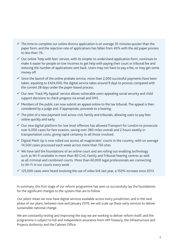- $\checkmark$  The time to complete our online divorce application is on average 35 minutes quicker than the paper form, and the rejection rate of applications has fallen from 40% with the old paper process to less than 1%.
- $\checkmark$  Our online 'help with fees' service, with its simpler to understand application form, continues to make it easier for people on low incomes to get help with paying their court or tribunal fee and reducing the number of applications sent back. Users may not have to pay a fee, or may get some money off.
- $\checkmark$  Since the launch of the online probate service, more than 2,000 successful payments have been taken, equating to £424,000; the digital service takes around 9 days to process compared with the current 28 days under the paper-based process.
- $\checkmark$  Our new 'Track My Appeal' service allows vulnerable users appealing social security and child support decisions to check progress via email and SMS.
- $\checkmark$  Members of the public can now submit an appeal online to the tax tribunal. The appeal is then considered by a judge and, if appropriate, proceeds to a hearing.
- $\checkmark$  The pilot of a new payment tool across civil, family and tribunals, allowing users to pay fees online quickly and early.
- $\checkmark$  Our new digital platform for low level offences has allowed Transport for London to prosecute over 6,000 cases for fare evasion, saving over 380 miles overall and 2 hours weekly in transportation costs, giving rapid certainty to all those involved.
- $\checkmark$  Digital Mark Up is now rolled out across all magistrates' courts in the country, with on average 14,500 cases processed each week across more than 150 sites.
- $\checkmark$  We have laid the foundations of an online court and are rolling out enabling technology such as Wi-Fi available in more than 80 Civil, Family and Tribunal hearing centres as well as all criminal and combined courts. More than 60,000 legal professionals are connecting to Wi-Fi in our courts every week.
- $\checkmark$  125,000 cases were heard involving the use of video link last year, a 150% increase since 2013.

In summary, this first stage of our reform programme has seen us successfully lay the foundations for the significant changes to the system that are to follow.

Our pilots mean we now have digital services available across every jurisdiction, and in the next phase of our plans, between now and January 2019, we will scale up these early services to deliver sustainable national change.

We are constantly testing and improving the way we are working to deliver reform itself; and the programme is subject to full and independent assurance from HM Treasury, the Infrastructure and Projects Authority and the Cabinet Office.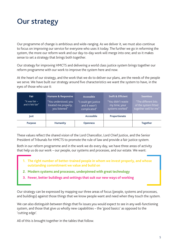### Our strategy

Our programme of change is ambitious and wide-ranging. As we deliver it, we must also continue to focus on improving our service for everyone who uses it today. The further we go in reforming the system, the more our reform work and our day-to-day work will merge into one; and so it makes sense to set a strategy that brings both together.

Our strategy for improving HMCTS and delivering a world class justice system brings together our reform programme with our work to improve the system here and now.

At the heart of our strategy, and the work that we do to deliver our plans, are the needs of the people we serve. We have built our strategy around five characteristics we want the system to have, in the eyes of those who use it:

| <b>Fair</b><br>"It was fair $-$<br>and it felt fair" | <b>Humane &amp; Responsive</b><br>"You understood; you<br>treated me properly;<br>you listened" | Accessible<br>"I could get justice<br>and it wasn't<br>complicated" | <b>Swift &amp; Efficient</b><br>"You didn't waste<br>my time; your<br>systems worked" | <b>Seamless</b><br>"The different bits<br>of the system fitted<br>together well for me" |
|------------------------------------------------------|-------------------------------------------------------------------------------------------------|---------------------------------------------------------------------|---------------------------------------------------------------------------------------|-----------------------------------------------------------------------------------------|
| lust                                                 |                                                                                                 | <b>Accessible</b>                                                   | Proportionate                                                                         |                                                                                         |
| <b>Purpose</b>                                       | <b>Humanity</b>                                                                                 | <b>Openness</b>                                                     |                                                                                       | <b>Together</b>                                                                         |

These values reflect the shared vision of the Lord Chancellor, Lord Chief Justice, and the Senior President of Tribunals for HMCTS to promote the rule of law and provide a fair justice system.

Both in our reform programme and in the work we do every day, we have three areas of activity that help us do our work – our people, our systems and processes, and our estate. We want:

- **1. The right number of better-trained people in whom we invest properly, and whose outstanding commitment we value and build on**
- **2. Modern systems and processes, underpinned with great technology**
- **3. Fewer, better buildings and settings that suit our new ways of working**

Our strategy can be expressed by mapping our three areas of focus (people, systems and processes, and buildings) against those things that we know people want and need when they touch the system.

We can also distinguish between things that fix issues you would expect to see in any well-functioning system, and those that give us wholly new capabilities – the 'good basics' as opposed to the 'cutting edge'.

All of this is brought together in the tables that follow.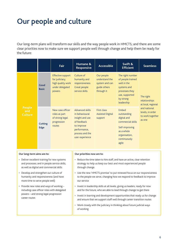## Our people and culture

Our long-term plans will transform our skills and the way people work in HMCTS; and there are some clear priorities now to make sure we support people well through change and help them be ready for the future:

|                                                                                                                                                                                                                                                                                                                                                                                                      | Fair                                                                                         | Humane &<br><b>Responsive</b>                                                                                                                                                                                                                                                                                                                                                                                                                                                               | <b>Accessible</b>                                                            | Swift &<br><b>Efficient</b>                                                                                                        | <b>Seamless</b>                                                                                                    |  |
|------------------------------------------------------------------------------------------------------------------------------------------------------------------------------------------------------------------------------------------------------------------------------------------------------------------------------------------------------------------------------------------------------|----------------------------------------------------------------------------------------------|---------------------------------------------------------------------------------------------------------------------------------------------------------------------------------------------------------------------------------------------------------------------------------------------------------------------------------------------------------------------------------------------------------------------------------------------------------------------------------------------|------------------------------------------------------------------------------|------------------------------------------------------------------------------------------------------------------------------------|--------------------------------------------------------------------------------------------------------------------|--|
| Good<br><b>Basic</b>                                                                                                                                                                                                                                                                                                                                                                                 | <b>Effective support</b><br>for judiciary;<br>high quality work<br>under delegated<br>powers | Culture of<br>humanity and<br>responsiveness<br><b>Great people</b><br>service skills                                                                                                                                                                                                                                                                                                                                                                                                       | Our people<br>understand the<br>system and can<br>guide others<br>through it | The right number<br>of people trained<br>well in the<br>systems and<br>processes they<br>use, supported<br>by strong<br>leadership | The right<br>relationships<br>at local, regional<br>and national<br>levels, in order<br>to work together<br>as one |  |
| <b>People</b><br>and<br><b>Culture</b><br><b>Cutting</b><br><b>Edge</b>                                                                                                                                                                                                                                                                                                                              | New case officer<br>roles as part<br>of strong legal<br>progression<br>routes                | <b>Advanced skills</b><br>in behavioural<br>insight and use<br>of feedback<br>to improve<br>performance,<br>process and the<br>user experience                                                                                                                                                                                                                                                                                                                                              | <b>First class</b><br><b>Assisted Digital</b><br>support                     | Embed<br>outstanding<br>digital and<br>commercial skills<br>Self-improving<br>as a whole<br>organisation,<br>continuously<br>agile |                                                                                                                    |  |
| Our long-term aims are to:                                                                                                                                                                                                                                                                                                                                                                           |                                                                                              | Our priorities now are to:                                                                                                                                                                                                                                                                                                                                                                                                                                                                  |                                                                              |                                                                                                                                    |                                                                                                                    |  |
| • Deliver excellent training for new systems<br>and processes; and in people service skills,<br>as well as digital and commercial skills<br>• Develop and strengthen our culture of<br>humanity and responsiveness (and have<br>more time to serve people well)<br>• Provide new roles and ways of working -<br>including case officer roles with delegated<br>powers - and strong legal progression |                                                                                              | • Reduce the time taken to hire staff, and have an active, clear retention<br>strategy to help us keep our best and most experienced people<br>through change<br>• Use the new 'HMCTS promise' to put renewed focus on our responsiveness<br>to the people we serve, changing how we respond to feedback to improve<br>our service<br>• Invest in leadership skills at all levels, giving us leaders, ready for now<br>and for the future, who are able to lead through change to get there |                                                                              |                                                                                                                                    |                                                                                                                    |  |
| career routes                                                                                                                                                                                                                                                                                                                                                                                        |                                                                                              | • Invest in learning and development opportunities that ready us for change<br>and ensure that we support staff well through career transition routes<br>• Work closely with the judiciary in thinking about future judicial ways                                                                                                                                                                                                                                                           |                                                                              |                                                                                                                                    |                                                                                                                    |  |
|                                                                                                                                                                                                                                                                                                                                                                                                      | of working                                                                                   |                                                                                                                                                                                                                                                                                                                                                                                                                                                                                             |                                                                              |                                                                                                                                    |                                                                                                                    |  |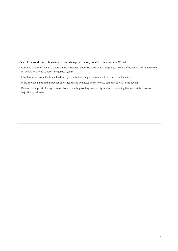#### **Users of the courts and tribunals can expect changes in the way we deliver our services. We will:**

- Continue to develop plans to create Courts & Tribunals Service Centres which will provide a more effective and efficient service for people who need to access the justice system
- Introduce a new complaints and feedback system that will help us deliver what our users want and need
- Make improvements in the experience for victims and witnesses and in how we communicate with the people
- Develop our support offering to users of our products, providing assisted digital support, ensuring that we maintain access to justice for all users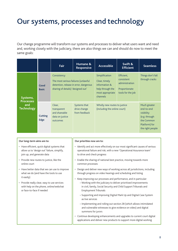### Our systems, processes and technology

Our change programme will transform our systems and processes to deliver what users want and need and, working closely with the judiciary, there are also things we can and should do now to meet the same goals:

|                                              |                        | <b>Fair</b>                                                                                                                        | Humane &<br><b>Responsive</b>                 | <b>Accessible</b>                                                                                    | Swift &<br><b>Efficient</b>                                                      | <b>Seamless</b>                                                                                              |
|----------------------------------------------|------------------------|------------------------------------------------------------------------------------------------------------------------------------|-----------------------------------------------|------------------------------------------------------------------------------------------------------|----------------------------------------------------------------------------------|--------------------------------------------------------------------------------------------------------------|
| Systems,                                     | Good<br><b>Basic</b>   | Consistency<br>The most serious failures (unlawful<br>detention, release in error, dangerous<br>sharing of details) 'designed out' |                                               | Simplification<br>Clear, timely<br>information &<br>help through the<br>most appropriate<br>channels | Efficient,<br>consistent<br>administration<br>Proportionate<br>tools for the job | Things don't fall<br>through cracks                                                                          |
| <b>Processes</b><br>and<br><b>Technology</b> | <b>Cutting</b><br>Edge | Clear,<br>transparent<br>and shareable<br>data on justice<br>outcomes                                                              | Systems that<br>drive change<br>from feedback | Wholly new routes to justice<br>(including the online court)                                         |                                                                                  | Much greater<br>end-to-end<br>visibility<br>(e.g. through<br>the Common<br>Platform) for<br>the right people |

| Our long-term aims are to:                                                                                                        | Our priorities now are to:                                                                                                                                                                                                               |  |  |  |
|-----------------------------------------------------------------------------------------------------------------------------------|------------------------------------------------------------------------------------------------------------------------------------------------------------------------------------------------------------------------------------------|--|--|--|
| • Have efficient, quick digital systems that<br>allow us to 'design out' failure, simplify,<br>join up, and generate data         | · Identify and act more effectively on our most significant causes of serious<br>operational failure and risk, with a new 'Operational Assurance team'<br>to drive and check progress                                                    |  |  |  |
| • Provide new routes to justice, like the<br>online court                                                                         | • Enable the sharing of national best practice, moving towards more<br>common processes                                                                                                                                                  |  |  |  |
| • Have better data that we can use to improve<br>what we do (and have the tools to use                                            | • Design and deliver new ways of working across all jurisdictions, including<br>through progress on video hearings and scheduling and listing                                                                                            |  |  |  |
| it easily)<br>• Provide really clear, easy to use services<br>with help on the phone, online/webchat<br>or face-to-face if needed | Keep improving our processes and performance, and in particular:<br>- Working with the judiciary to deliver prioritised improvements<br>in civil, family, Social Security and Child Support Tribunals and<br><b>Employment Tribunals</b> |  |  |  |
|                                                                                                                                   | - Supporting and improving Digital Mark Up and Digital Case System<br>as live services                                                                                                                                                   |  |  |  |
|                                                                                                                                   | - Implementing and rolling out section 28 (which allows intimidated<br>and vulnerable witnesses to give evidence on video) and digital<br>summons for jurors                                                                             |  |  |  |
|                                                                                                                                   | • Continue developing enhancements and upgrades to current court digital<br>applications and deliver new products to support more digital working                                                                                        |  |  |  |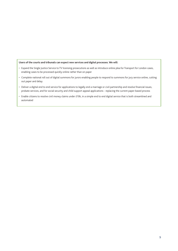#### **Users of the courts and tribunals can expect new services and digital processes. We will:**

- Expand the Single Justice Service to TV licensing prosecutions as well as introduce online plea for Transport for London cases, enabling cases to be processed quickly online rather than on paper
- Complete national roll out of digital summons for jurors enabling people to respond to summons for jury service online, cutting out paper and delay
- Deliver a digital end to end service for applications to legally end a marriage or civil partnership and resolve financial issues, probate services, and for social security and child support appeal applications - replacing the current paper-based process
- Enable citizens to resolve civil money claims under £10k, in a simple end to end digital service that is both streamlined and automated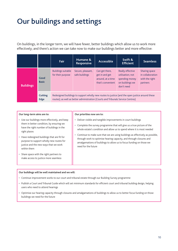# Our buildings and settings

On buildings, in the longer term, we will have fewer, better buildings which allow us to work more effectively; and there's action we can take now to make our buildings better and more effective:

|                  |                        | <b>Fair</b>                                                                                                                                                                         | Humane &<br><b>Responsive</b>       | <b>Accessible</b>                                                          | Swift &<br><b>Efficient</b>                                                             | <b>Seamless</b>                                                        |
|------------------|------------------------|-------------------------------------------------------------------------------------------------------------------------------------------------------------------------------------|-------------------------------------|----------------------------------------------------------------------------|-----------------------------------------------------------------------------------------|------------------------------------------------------------------------|
| <b>Buildings</b> | Good<br><b>Basic</b>   | <b>Buildings suitable</b><br>for their purpose                                                                                                                                      | Secure, pleasant,<br>safe buildings | Can get there,<br>get in and get<br>around, at a time<br>that's convenient | Really effective<br>utilisation; not<br>spending money<br>on buildings we<br>don't need | <b>Sharing space</b><br>in collaboration<br>with the right<br>partners |
|                  | <b>Cutting</b><br>Edge | Redesigned buildings to support wholly new routes to justice (and the open justice around these<br>routes); as well as better administration (Courts and Tribunals Service Centres) |                                     |                                                                            |                                                                                         |                                                                        |

| Our long-term aims are to:                                                                                                                                                                                                                                                                                                                                                                      | Our priorities now are to:                                                                                                                                                                                                                                                                                                                                                                                                                                            |  |  |  |
|-------------------------------------------------------------------------------------------------------------------------------------------------------------------------------------------------------------------------------------------------------------------------------------------------------------------------------------------------------------------------------------------------|-----------------------------------------------------------------------------------------------------------------------------------------------------------------------------------------------------------------------------------------------------------------------------------------------------------------------------------------------------------------------------------------------------------------------------------------------------------------------|--|--|--|
| • Use our buildings more effectively, and keep<br>them in better condition, by ensuring we<br>have the right number of buildings in the<br>right places<br>• Have redesigned buildings that are fit for<br>purpose to support wholly new routes for<br>justice and the new ways that we work<br>within them<br>• Share space with the right partners to<br>make access to justice more seamless | Deliver visible and tangible improvements in court buildings<br>Complete the survey programme that will give us a true picture of the<br>whole estate's condition and allow us to spend where it is most needed<br>Continue to make sure that we are using buildings as effectively as possible,<br>through work to optimise hearing capacity, and through closures and<br>amalgamations of buildings to allow us to focus funding on those we<br>need for the future |  |  |  |
|                                                                                                                                                                                                                                                                                                                                                                                                 |                                                                                                                                                                                                                                                                                                                                                                                                                                                                       |  |  |  |

#### **Our buildings will be well maintained and we will:**

- Continue improvement works to our court and tribunal estate through our Building Survey programme
- Publish a Court and Tribunal Guide which will set minimum standards for efficient court and tribunal building design, helping users who need to attend hearings
- Optimise our hearing capacity through closures and amalgamations of buildings to allow us to better focus funding on those buildings we need for the future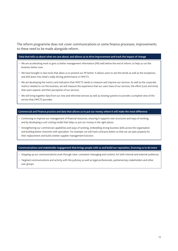The reform programme does not cover communications or some finance processes; improvements to these need to be made alongside reform.

#### **Data that tells us about what we care about; and allows us to drive improvement and track the impact of change**

- We are accelerating work to give us better management information (MI) well before the end of reform, to help us run the business better now:
- We have brought in new tools that allow us to present our MI better. It allows users to see the trends as well as the exceptions, and drill down into what's really driving performance in HMCTS.
- We are developing the metrics and indicators that HMCTS needs to measure and improve our services. As well as the corporate metrics needed to run the business, we will measure the experience that our users have of our services, the effort (cost and time) that users expend, and their perception of our services.
- We will bring together data from our new and reformed services as well as existing systems to provide a complete view of the service that HMCTS provides.

#### **Commercial and Finance practice and data that allows us to put our money where it will make the most difference**

- Continuing to improve our management of financial resources, ensuring it supports new structures and ways of working, and by developing a unit costing model that helps us put our money in the right places.
- Strengthening our commercial capabilities and ways of working, embedding strong business skills across the organisation and building better networks with specialists. For example, we will track contracts better so that we can plan properly for their replacement and build a better supplier management function.

#### **Communications and stakeholder engagement that brings people with us and build our reputation, licencing us to do more**

- Stepping up our communications work through clear, consistent messaging and content, for both internal and external audiences.
- Targeted communications and activity with the judiciary as well as legal professionals, parliamentary stakeholders and other user groups.